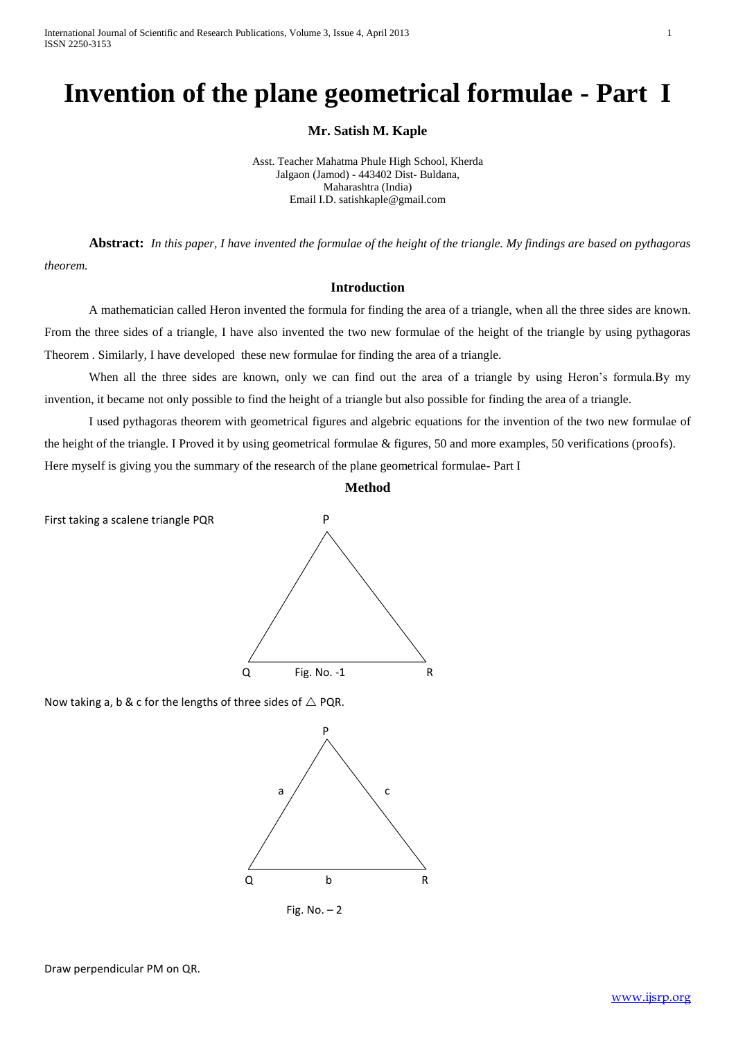International Journal of Scientific and Research Publications, Volume 3, Issue 4, April 2013 1 ISSN 2250-3153

# **Invention of the plane geometrical formulae - Part I**

**Mr. Satish M. Kaple** 

Asst. Teacher Mahatma Phule High School, Kherda Jalgaon (Jamod) - 443402 Dist- Buldana, Maharashtra (India) Email I.D. satishkaple@gmail.com

**Abstract:** *In this paper, I have invented the formulae of the height of the triangle. My findings are based on pythagoras theorem.*

**Introduction**

A mathematician called Heron invented the formula for finding the area of a triangle, when all the three sides are known. From the three sides of a triangle, I have also invented the two new formulae of the height of the triangle by using pythagoras Theorem . Similarly, I have developed these new formulae for finding the area of a triangle.

When all the three sides are known, only we can find out the area of a triangle by using Heron's formula.By my invention, it became not only possible to find the height of a triangle but also possible for finding the area of a triangle.

I used pythagoras theorem with geometrical figures and algebric equations for the invention of the two new formulae of the height of the triangle. I Proved it by using geometrical formulae & figures, 50 and more examples, 50 verifications (proofs). Here myself is giving you the summary of the research of the plane geometrical formulae- Part I

**Method**

First taking a scalene triangle PQR P



Now taking a, b & c for the lengths of three sides of  $\triangle$  PQR.



Fig. No. – 2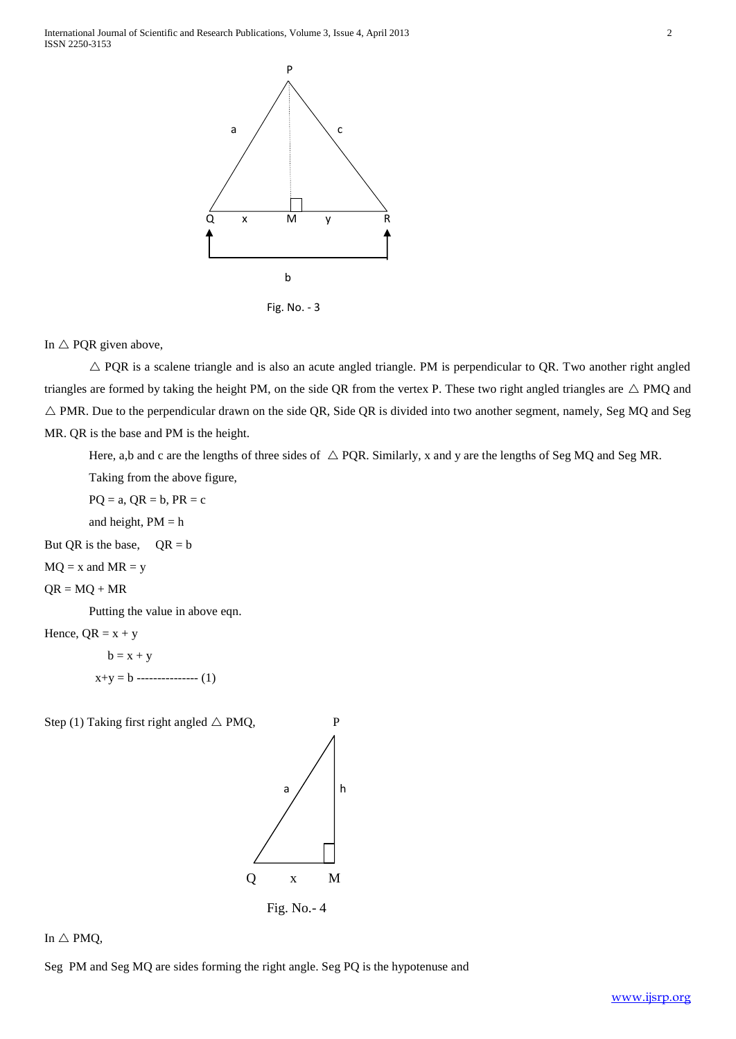

Fig. No. - 3

# In  $\triangle$  PQR given above,

 $\triangle$  PQR is a scalene triangle and is also an acute angled triangle. PM is perpendicular to QR. Two another right angled triangles are formed by taking the height PM, on the side QR from the vertex P. These two right angled triangles are  $\triangle$  PMQ and  $\triangle$  PMR. Due to the perpendicular drawn on the side QR, Side QR is divided into two another segment, namely, Seg MQ and Seg MR. QR is the base and PM is the height.

Here, a,b and c are the lengths of three sides of  $\triangle$  PQR. Similarly, x and y are the lengths of Seg MQ and Seg MR.

Taking from the above figure,

 $PQ = a$ ,  $QR = b$ ,  $PR = c$ 

and height,  $PM = h$ 

But QR is the base,  $QR = b$ 

 $MQ = x$  and  $MR = y$ 

$$
QR = MQ + MR
$$

Putting the value in above eqn.

Hence,  $QR = x + y$ 

 $b = x + y$  $x+y = b$  ---------------- (1)

Step (1) Taking first right angled  $\triangle$  PMQ, P



In  $\triangle$  PMQ,

Seg PM and Seg MQ are sides forming the right angle. Seg PQ is the hypotenuse and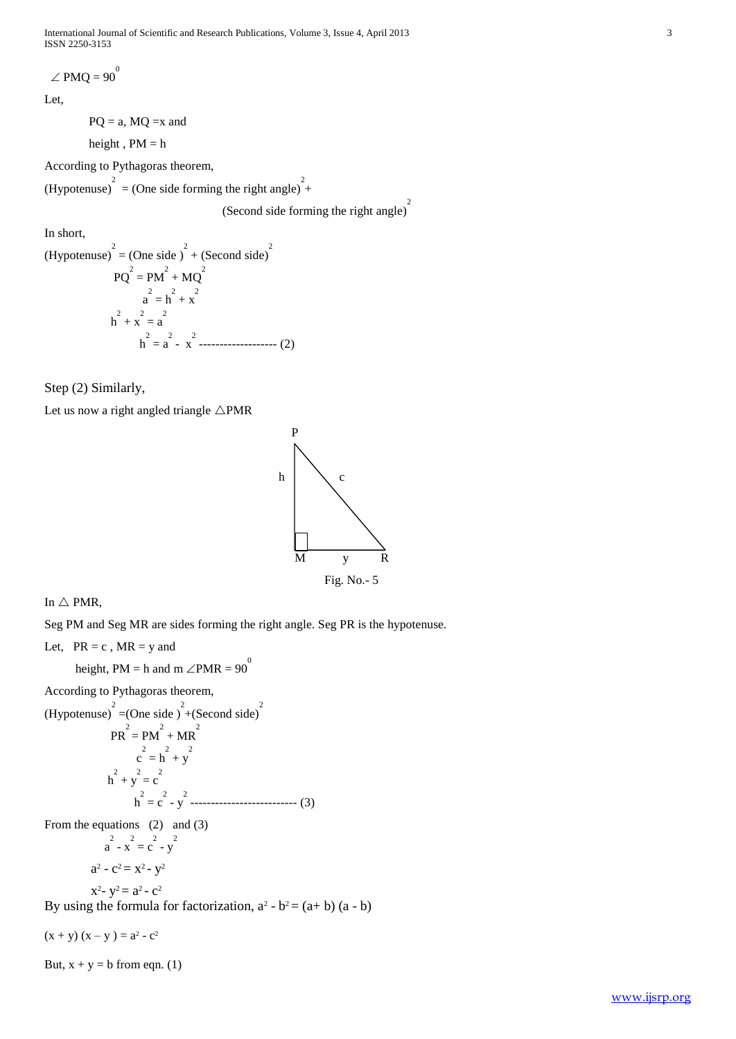International Journal of Scientific and Research Publications, Volume 3, Issue 4, April 2013 3 ISSN 2250-3153

 $\angle$  PMQ = 90<sup>0</sup>

Let,

 $PQ = a$ ,  $MQ = x$  and

height,  $PM = h$ 

According to Pythagoras theorem,

(Hypotenuse)<sup>2</sup> = (One side forming the right angle)<sup>2</sup>+

(Second side forming the right angle) 2

In short,

(Hypotenuse)<sup>2</sup> = (One side)<sup>2</sup> + (Second side)<sup>2</sup>  
\n
$$
PQ^{2} = PM^{2} + MQ^{2}
$$
\n
$$
a^{2} = h^{2} + x^{2}
$$
\n
$$
h^{2} + x = a^{2}
$$
\n
$$
h^{2} = a^{2} - x^{2}
$$
\n
$$
a^{2} = 2^{2} - x^{2}
$$
\n(2)

Step (2) Similarly,

Let us now a right angled triangle  $\triangle PMR$ 



In  $\triangle$  PMR,

Seg PM and Seg MR are sides forming the right angle. Seg PR is the hypotenuse.

Let,  $PR = c$ ,  $MR = y$  and

height, PM = h and m  $\angle$ PMR = 90<sup>0</sup>

According to Pythagoras theorem,

(Hypotenuse)<sup>2</sup> = (One side)<sup>2</sup> + (Second side)<sup>2</sup>

$$
PR2 = PM2 + MR2
$$
  
\n
$$
c2 = h2 + y2
$$
  
\n
$$
h2 + y = c
$$
  
\n
$$
h2 = c2 - y2
$$

From the equations (2) and (3)

$$
a^{2} - x^{2} = c^{2} - y^{2}
$$

$$
a^{2} - c^{2} = x^{2} - y^{2}
$$

$$
x^2 - y^2 = a^2 - c^2
$$

By using the formula for factorization,  $a^2 - b^2 = (a + b)(a - b)$ 

 $(x + y) (x - y) = a<sup>2</sup> - c<sup>2</sup>$ 

But,  $x + y = b$  from eqn. (1)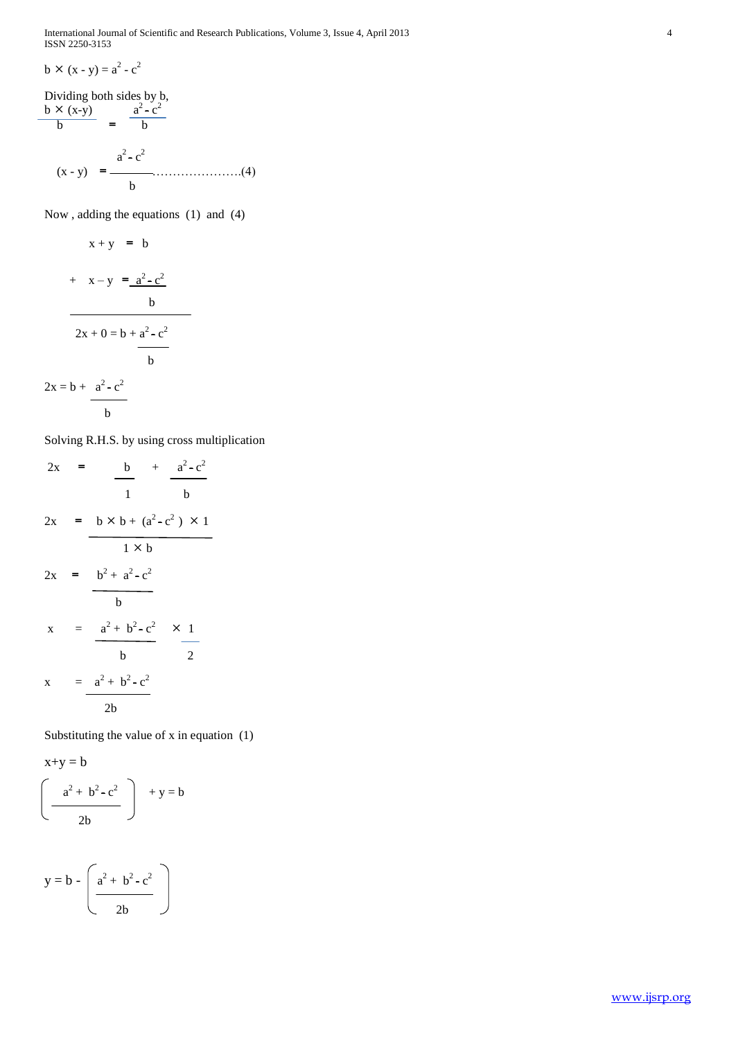International Journal of Scientific and Research Publications, Volume 3, Issue 4, April 2013 4 ISSN 2250-3153

$$
b \times (x - y) = a^2 - c^2
$$

Dividing both sides by b, b  $\times$  (x-y)  $a^2 - c^2$  $\begin{array}{ccc} b & = & b \end{array}$  $a^2 - c^2$  (x - y) = ………………….(4) b

Now , adding the equations (1) and (4)

$$
x + y = b
$$
\n
$$
+ x - y = \frac{a^{2} - c^{2}}{b}
$$
\n
$$
2x + 0 = b + \frac{a^{2} - c^{2}}{b}
$$
\n
$$
2x = b + \frac{a^{2} - c^{2}}{b}
$$

$$
-b \\
$$

Solving R.H.S. by using cross multiplication

2

$$
2x = \frac{b}{1} + \frac{a^{2}-c^{2}}{b}
$$
  

$$
2x = b \times b + (a^{2}-c^{2}) \times 1
$$
  

$$
2x = \frac{b^{2}+a^{2}-c^{2}}{b}
$$
  

$$
x = \frac{a^{2}+b^{2}-c^{2}}{b}
$$
  

$$
x = \frac{a^{2}+b^{2}-c^{2}}{2b}
$$

Substituting the value of x in equation (1)

$$
x+y = b
$$
  

$$
\left(\begin{array}{c} a^2 + b^2 - c^2 \\ \hline 2b \end{array}\right) + y = b
$$

$$
y = b - \left(\frac{a^2 + b^2 - c^2}{2b}\right)
$$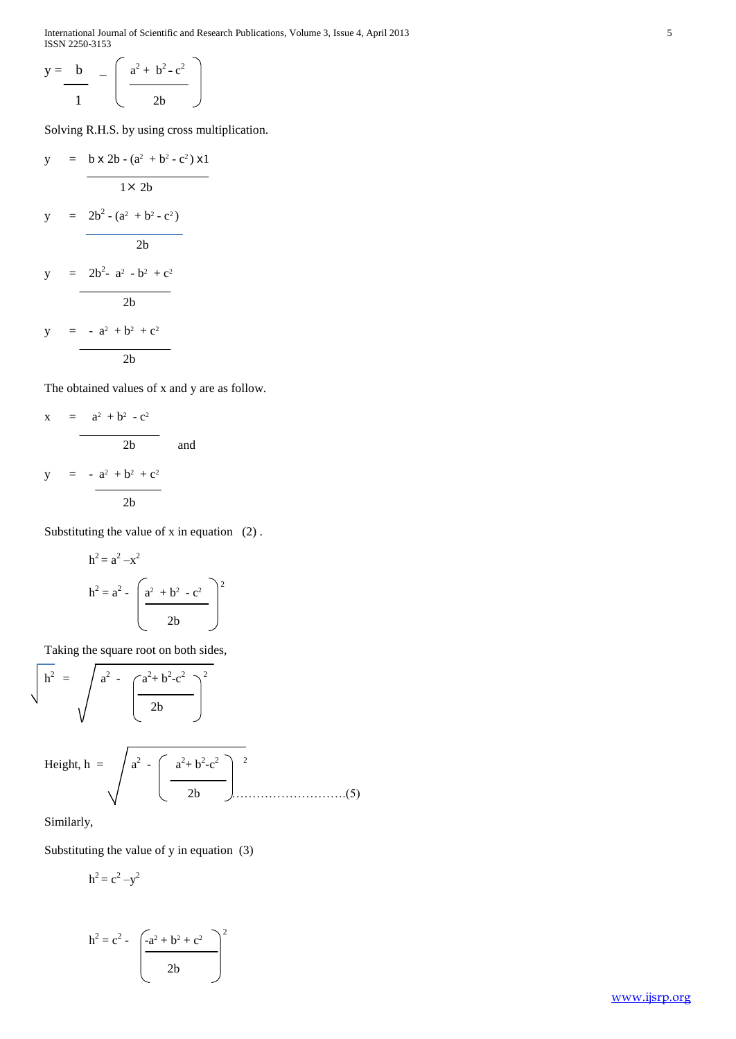International Journal of Scientific and Research Publications, Volume 3, Issue 4, April 2013 5 ISSN 2250-3153

$$
y = \frac{b}{1} - \left(\frac{a^2 + b^2 - c^2}{2b}\right)
$$

Solving R.H.S. by using cross multiplication.

$$
y = b \times 2b - (a^{2} + b^{2} - c^{2}) \times 1
$$
  
\n
$$
1 \times 2b
$$
  
\n
$$
y = 2b^{2} - (a^{2} + b^{2} - c^{2})
$$
  
\n
$$
y = 2b^{2} - a^{2} - b^{2} + c^{2}
$$
  
\n
$$
y = -a^{2} + b^{2} + c^{2}
$$
  
\n
$$
2b
$$
  
\n
$$
y = b
$$

The obtained values of x and y are as follow.

$$
x = \frac{a^{2} + b^{2} - c^{2}}{2b}
$$
 and  

$$
y = -\frac{a^{2} + b^{2} + c^{2}}{2b}
$$

Substituting the value of x in equation (2) .

$$
h2 = a2 - x2
$$
  

$$
h2 = a2 - \left(\frac{a2 + b2 - c2}{2b}\right)2
$$

Taking the square root on both sides,

$$
\sqrt{h^2} = \sqrt{a^2 - \left(\frac{a^2 + b^2 - c^2}{2b}\right)^2}
$$

Height, 
$$
h = \sqrt{a^2 - \left(\frac{a^2 + b^2 - c^2}{2b}\right)^2}
$$
 (5)

Similarly,

Substituting the value of y in equation (3)

$$
h^2 = c^2 - y^2
$$

$$
h^{2} = c^{2} - \left(\frac{-a^{2} + b^{2} + c^{2}}{2b}\right)^{2}
$$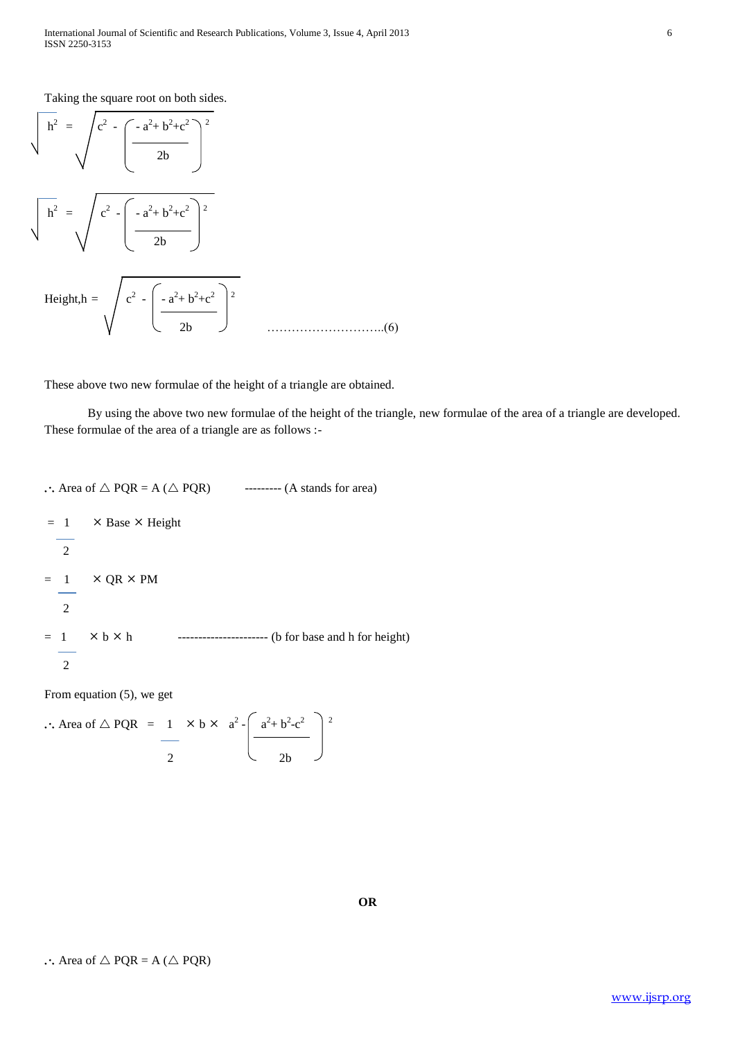Taking the square root on both sides.

$$
\sqrt{h^2} = \sqrt{c^2 - \left(\frac{-a^2 + b^2 + c^2}{2b}\right)^2}
$$
  

$$
\sqrt{h^2} = \sqrt{c^2 - \left(\frac{-a^2 + b^2 + c^2}{2b}\right)^2}
$$
  
Height,  $h = \sqrt{c^2 - \left(\frac{-a^2 + b^2 + c^2}{2b}\right)^2}$  .........(6)

These above two new formulae of the height of a triangle are obtained.

 By using the above two new formulae of the height of the triangle, new formulae of the area of a triangle are developed. These formulae of the area of a triangle are as follows :-

```
\therefore Area of \triangle PQR = A (\triangle PQR) --------- (A stands for area)
= 1 \times Base \times Height
    2
= 1 \times QR \times PM
    2
= 1  b  h ---------------------- (b for base and h for height)
    2
```
From equation (5), we get

$$
\therefore \text{ Area of } \triangle PQR = \frac{1}{2} \times b \times a^2 - \left(\frac{a^2 + b^2 - c^2}{2b}\right)^2
$$

 $\therefore$  Area of  $\triangle$  PQR = A ( $\triangle$  PQR)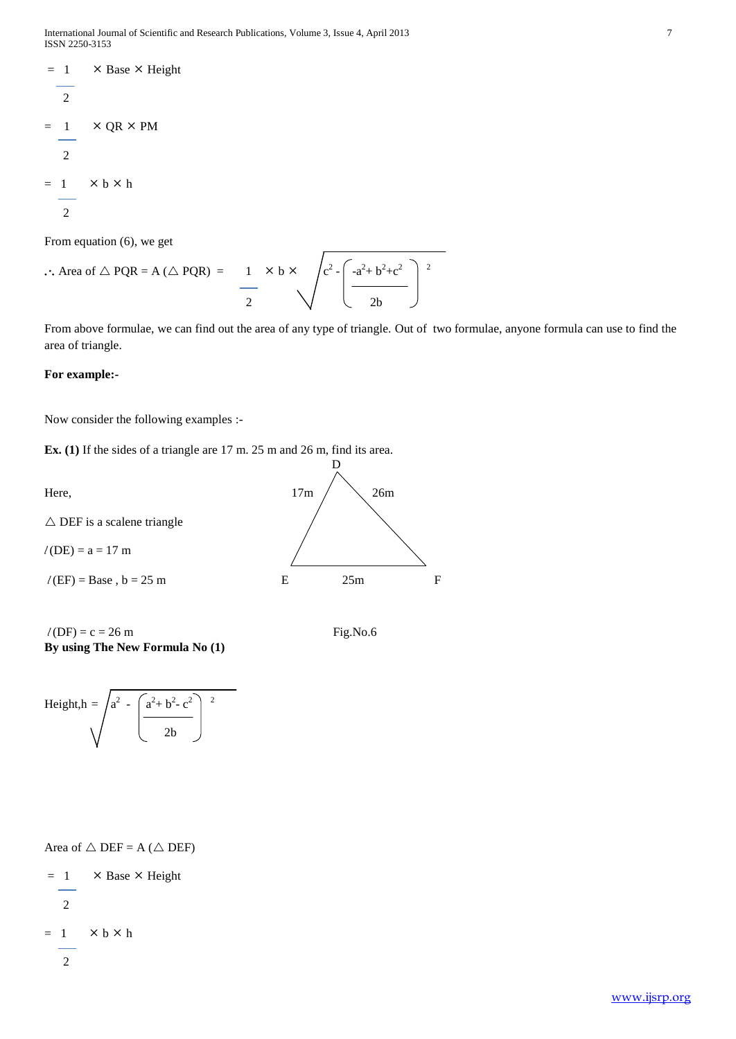```
= 1 \times Base \times Height
    \overline{2}= 1 \times QR \times PM
     2
= 1 \times b \times h 2
```
From equation (6), we get

 $\therefore$  Area of  $\triangle$  PQR = A ( $\triangle$  PQR) =  $2 - \left( -a^2 + b^2 + c^2 \right)$  2 2  $\vee$  2b

From above formulae, we can find out the area of any type of triangle. Out of two formulae, anyone formula can use to find the area of triangle.

D

#### **For example:-**

Now consider the following examples :-

**Ex. (1)** If the sides of a triangle are 17 m. 25 m and 26 m, find its area.

Here,  $17m / \sqrt{26m}$ 

 $\triangle$  DEF is a scalene triangle

 $l$  (DE) = a = 17 m

 $l(EF) = Base, b = 25 m$  E 25m F

 $l(DF) = c = 26$  m Fig.No.6 **By using The New Formula No (1)**





Area of  $\triangle$  DEF = A ( $\triangle$  DEF)

 $= 1$   $\times$  Base  $\times$  Height 2  $= 1$   $\times b \times h$ 2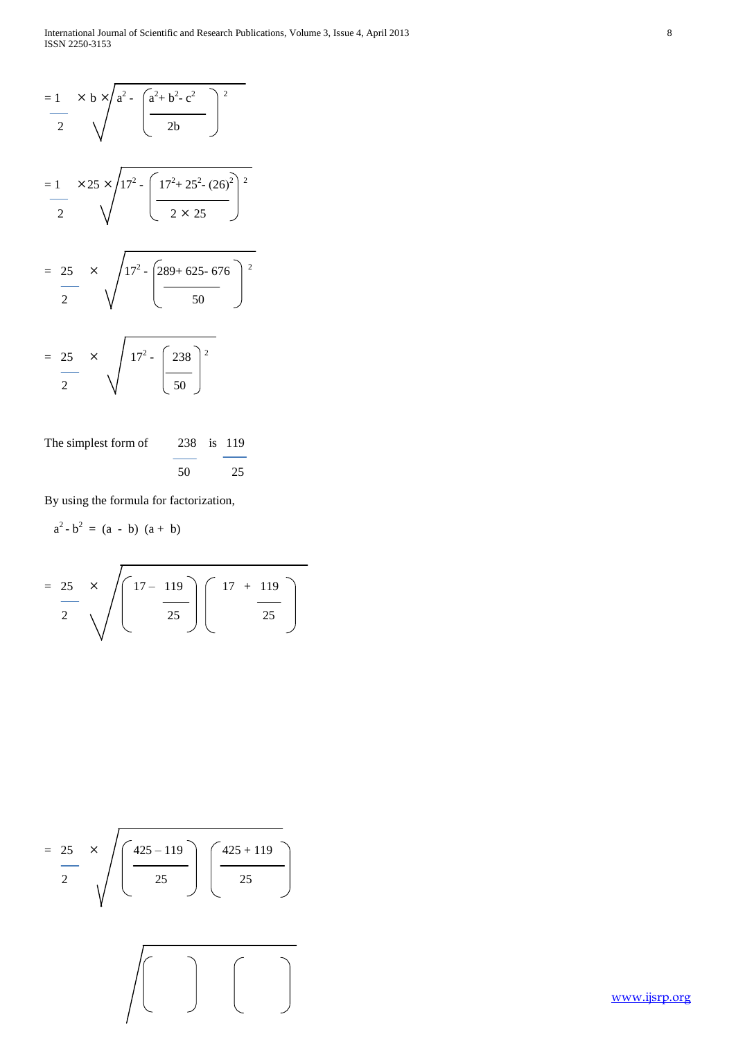$$
= \frac{1}{2} \times b \times \sqrt{a^{2} - \left(\frac{a^{2} + b^{2} - c^{2}}{2b}\right)^{2}}
$$
\n
$$
= \frac{1}{2} \times 25 \times \sqrt{17^{2} - \left(\frac{17^{2} + 25^{2} - (26)^{2}}{2 \times 25}\right)^{2}}
$$
\n
$$
= \frac{25}{2} \times \sqrt{17^{2} - \left(\frac{289 + 625 - 676}{50}\right)^{2}}
$$
\n
$$
= \frac{25}{2} \times \sqrt{17^{2} - \left(\frac{238}{50}\right)^{2}}
$$

The simplest form of 238 is 119 50 25

By using the formula for factorization,

$$
a^2-b^2 = (a - b) (a + b)
$$

$$
= \frac{25}{2} \times \sqrt{\left(\frac{17 - 119}{25}\right)\left(\frac{17 + 119}{25}\right)}
$$

$$
= \frac{25}{2} \times \sqrt{\left(\frac{425 - 119}{25}\right)\left(\frac{425 + 119}{25}\right)}
$$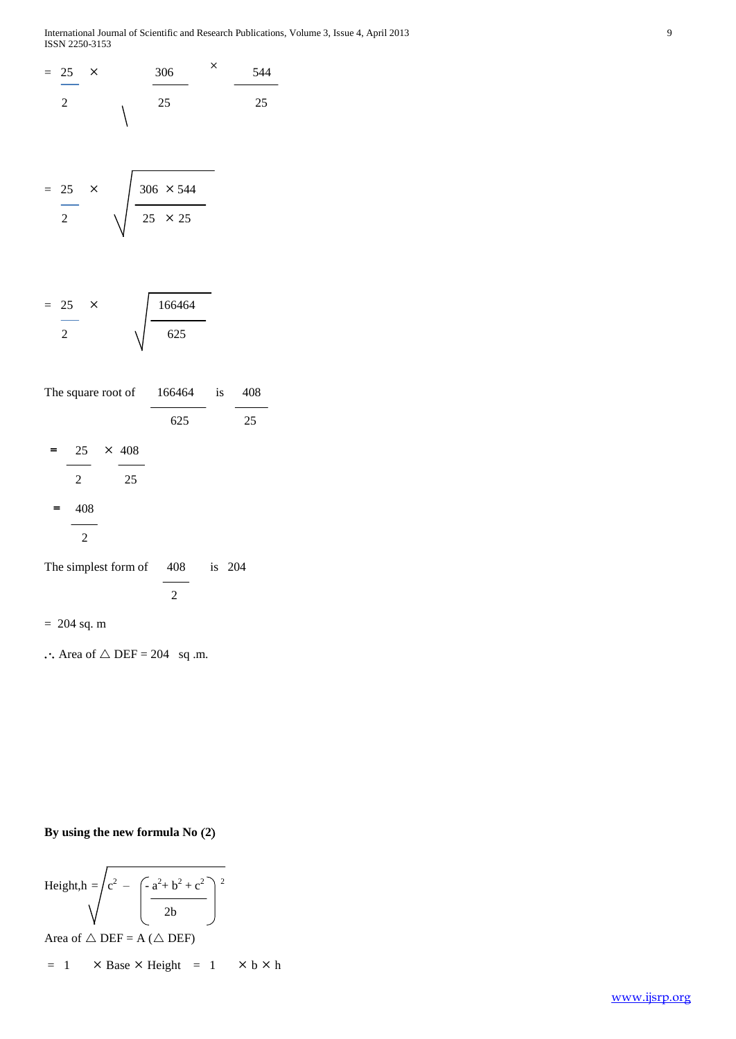International Journal of Scientific and Research Publications, Volume 3, Issue 4, April 2013 9 ISSN 2250-3153

$$
\frac{25}{2} \times \frac{306}{25} \times \frac{544}{25}
$$

$$
= \frac{25}{2} \times \sqrt{\frac{306 \times 544}{25 \times 25}}
$$

$$
= \frac{25}{2} \times \sqrt{\frac{166464}{625}}
$$

| The square root of $166464$ is |    |                |        | 408 |
|--------------------------------|----|----------------|--------|-----|
|                                |    | 625            |        | 25  |
| $= 25 \times 408$              |    |                |        |     |
| 2                              | 25 |                |        |     |
| 408<br>$=$                     |    |                |        |     |
| $\mathbf{2}$                   |    |                |        |     |
| The simplest form of 408       |    |                | is 204 |     |
|                                |    | $\overline{2}$ |        |     |
| $= 204$ sq. m                  |    |                |        |     |

 $\therefore$  Area of  $\triangle$  DEF = 204 sq .m.

# **By using the new formula No 2**

Height, 
$$
h = \sqrt{c^2 - \left(\frac{-a^2 + b^2 + c^2}{2b}\right)^2}
$$

Area of  $\triangle$  DEF = A ( $\triangle$  DEF)

$$
= 1 \qquad \times \text{Base} \times \text{Height} = 1 \qquad \times \text{b} \times \text{h}
$$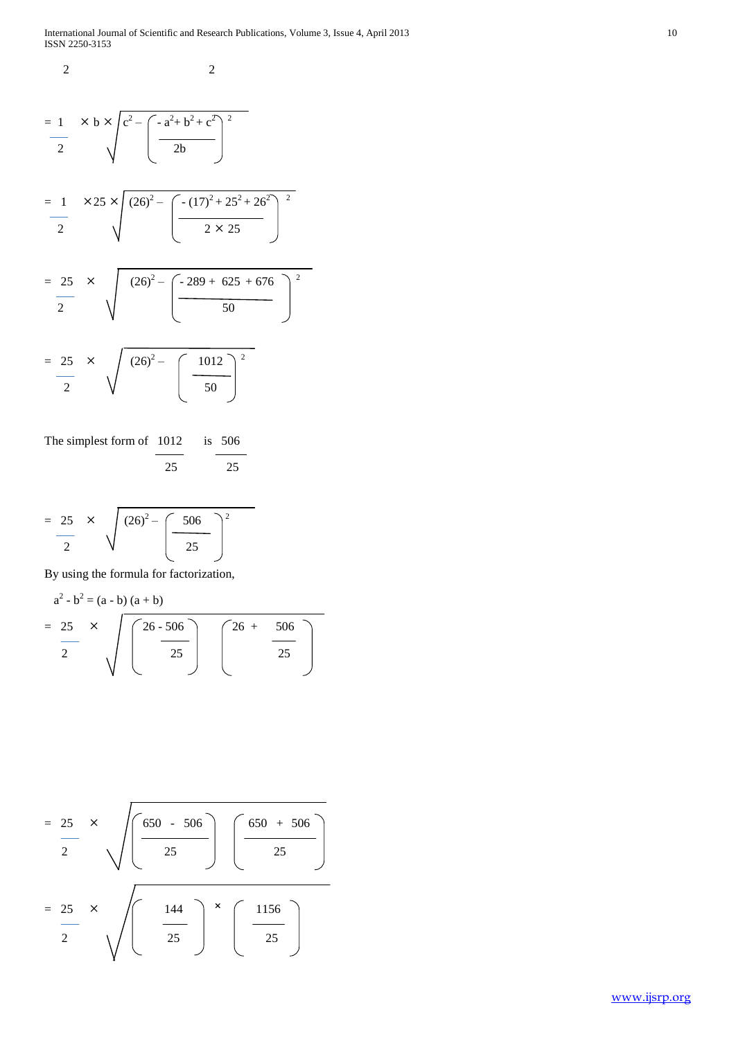2 2

$$
= \frac{1}{2} \times b \times \sqrt{c^2 - \left( \frac{-a^2 + b^2 + c^2}{2b} \right)^2}
$$

$$
= \frac{1}{2} \qquad \times 25 \times \sqrt{(26)^2 - \left(-\frac{(17)^2 + 25^2 + 26^2}{2 \times 25}\right)^2}
$$

$$
= \frac{25}{2} \times \sqrt{(26)^2 - \left(\frac{-289 + 625 + 676}{50}\right)^2}
$$

$$
= \frac{25}{2} \times \sqrt{(26)^2 - \left(\frac{1012}{50}\right)^2}
$$

The simplest form of 1012 is 506 25 25

$$
= \frac{25}{2} \times \sqrt{(26)^2 - \left(\frac{506}{25}\right)^2}
$$

By using the formula for factorization,

$$
a^{2} - b^{2} = (a - b) (a + b)
$$
  
= 25 x  $\sqrt{\left(\frac{26 - 506}{25}\right)} \left(\frac{26 + 506}{25}\right)$ 

$$
= \frac{25}{2} \times \sqrt{\frac{650 - 506}{25}} \sqrt{\frac{650 + 506}{25}}
$$

$$
= \frac{25}{2} \times \sqrt{\frac{144}{25}} \times \sqrt{\frac{1156}{25}}
$$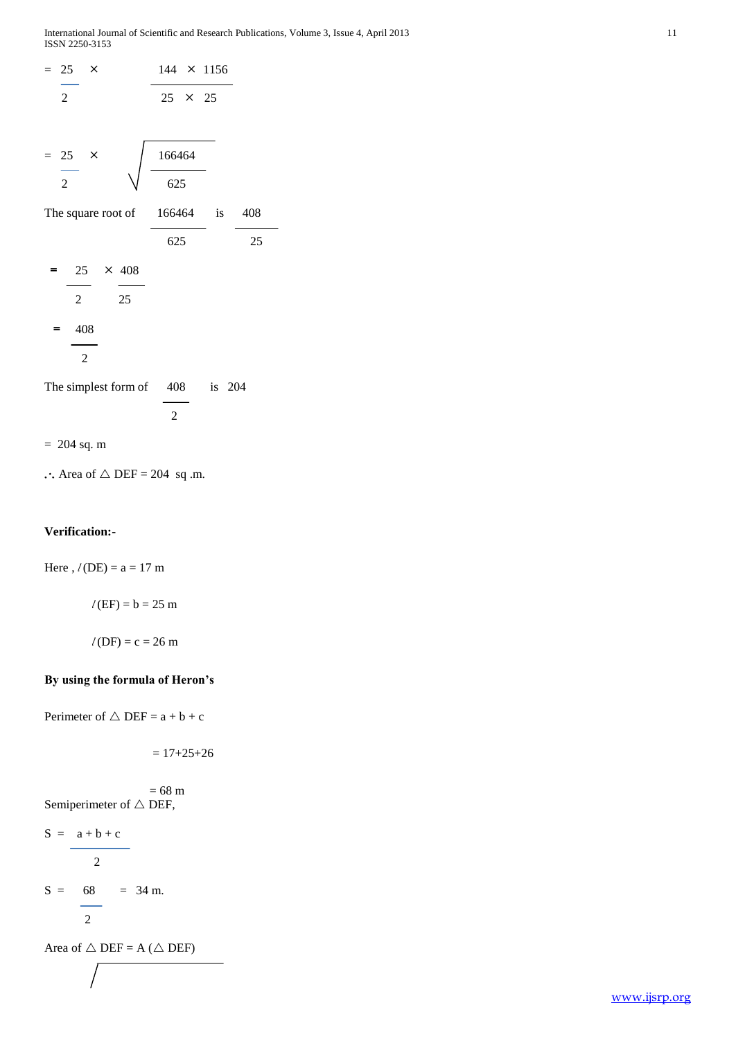ISSN 2250-3153



 $\therefore$  Area of  $\triangle$  DEF = 204 sq .m.

#### **Verification:-**

Here ,  $l$  (DE) =  $a = 17$  m

 $l$  (EF) =  $b = 25$  m

 $l$  (DF) = c = 26 m

# **By using the formula of Heron's**

Perimeter of  $\triangle$  DEF = a + b + c

$$
= 17 + 25 + 26
$$

 $= 68 \text{ m}$ Semiperimeter of  $\triangle$  DEF,

$$
S = \frac{a+b+c}{2}
$$

 $S = 68 = 34$  m.

$$
2 \\
$$

Area of  $\triangle$  DEF = A ( $\triangle$  DEF)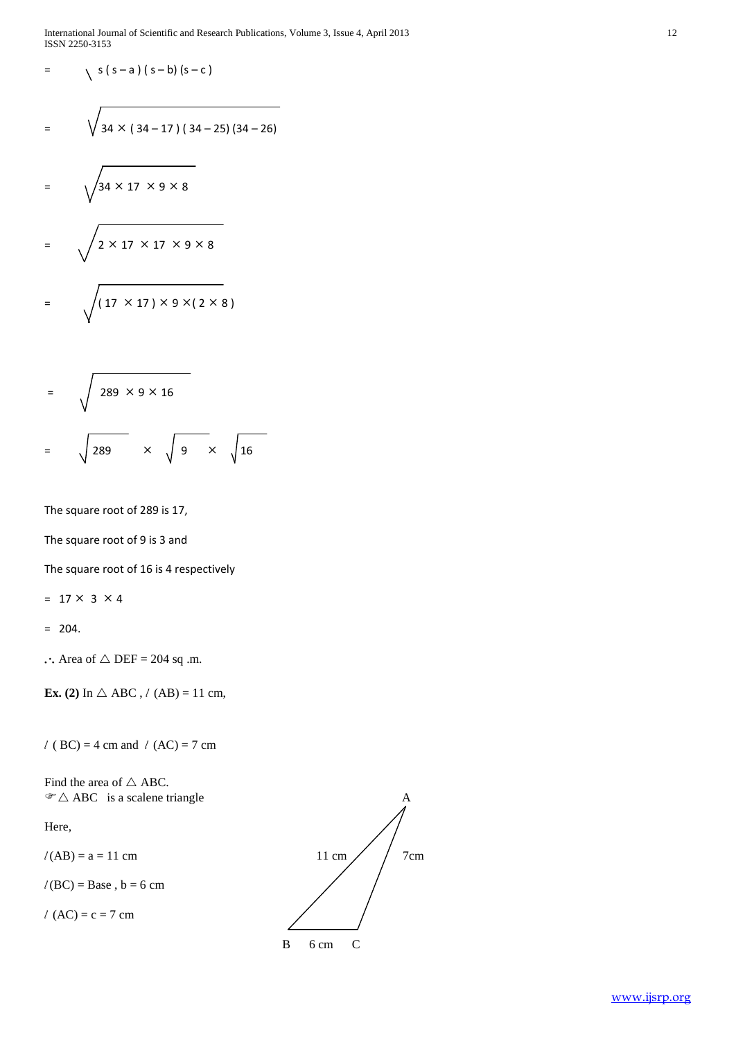International Journal of Scientific and Research Publications, Volume 3, Issue 4, April 2013 12 ISSN 2250-3153

$$
= \sqrt{s(s-a)(s-b)(s-c)}
$$

$$
= \sqrt{34 \times (34 - 17) (34 - 25) (34 - 26)}
$$

$$
= \sqrt{34 \times 17 \times 9 \times 8}
$$
  

$$
= \sqrt{2 \times 17 \times 17 \times 9 \times 8}
$$
  

$$
= \sqrt{(17 \times 17) \times 9 \times (2 \times 8)}
$$

$$
= \sqrt{289 \times 9 \times 16}
$$
  

$$
= \sqrt{289} \times \sqrt{9} \times \sqrt{16}
$$

The square root of 289 is 17,

The square root of 9 is 3 and

The square root of 16 is 4 respectively

 $= 17 \times 3 \times 4$ 

 $= 204.$ 

 $\therefore$  Area of  $\triangle$  DEF = 204 sq .m.

**Ex.** (2) In  $\triangle$  ABC, *l* (AB) = 11 cm,

*l* ( BC) = 4 cm and *l* (AC) = 7 cm

Find the area of  $\triangle$  ABC.

Here,

 $l(BC) = Base, b = 6 cm$ 

 $l$  (AC) = c = 7 cm

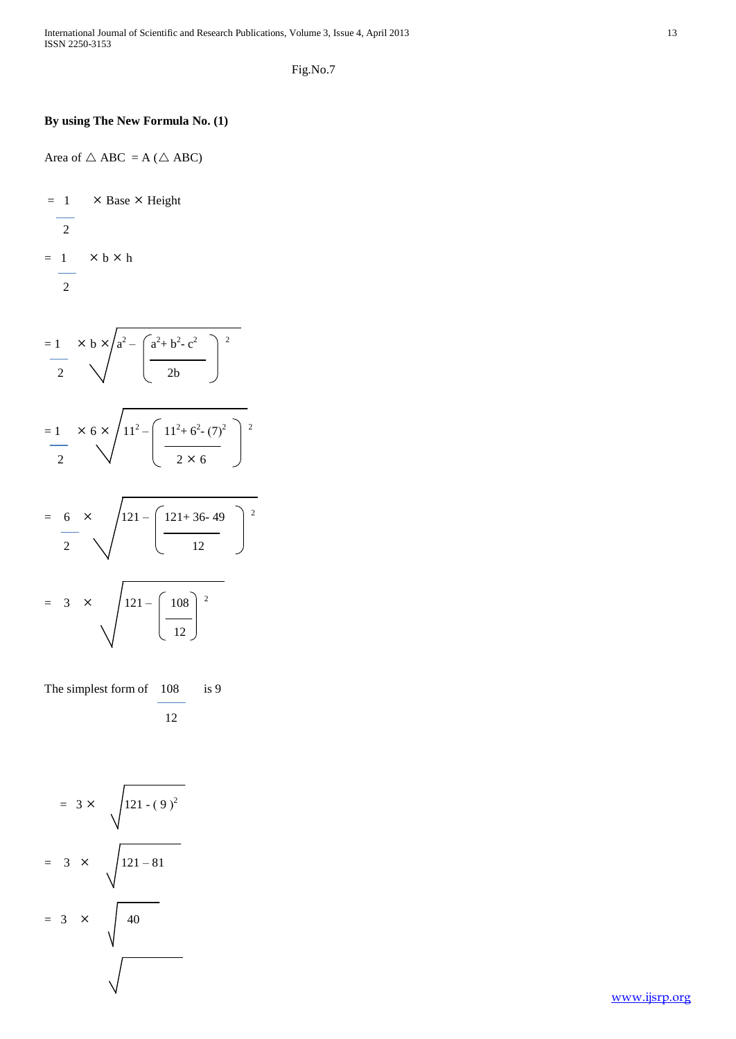Fig.No.7

# **By using The New Formula No. (1)**

Area of  $\triangle$  ABC = A ( $\triangle$  ABC)

$$
= \frac{1}{2} \times \text{Base} \times \text{Height}
$$
  

$$
= \frac{1}{2} \times \text{b} \times \text{h}
$$

$$
= 1 \times b \times a^{2} - \left( \frac{a^{2} + b^{2} - c^{2}}{2b} \right)^{2}
$$
  

$$
= 1 \times 6 \times \sqrt{11^{2} - \left( \frac{11^{2} + 6^{2} - (7)^{2}}{2 \times 6} \right)^{2}}
$$
  

$$
= 6 \times \sqrt{121 - \left( \frac{121 + 36 - 49}{12} \right)^{2}}
$$
  

$$
= 3 \times \sqrt{121 - \left( \frac{108}{12} \right)^{2}}
$$

The simplest form of 108 is 9 12

$$
= 3 \times \sqrt{121 - (9)^{2}}
$$
  
= 3 \times \sqrt{121 - 81}  
= 3 \times \sqrt{40}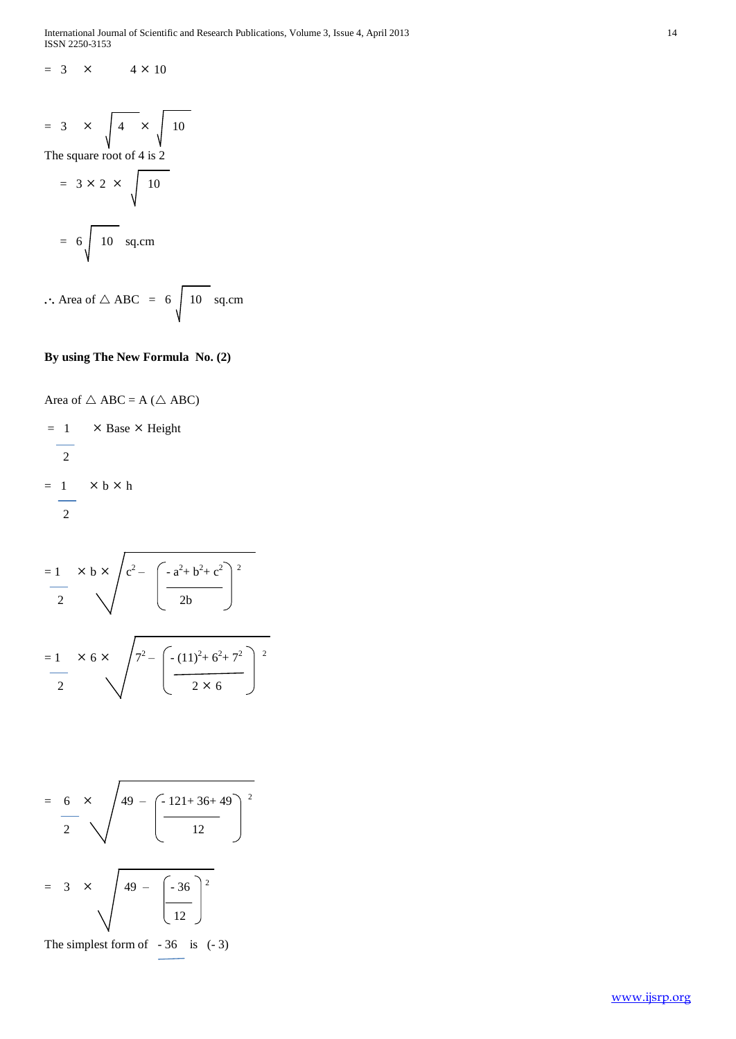International Journal of Scientific and Research Publications, Volume 3, Issue 4, April 2013 14 ISSN 2250-3153

$$
= 3 \times 4 \times 10
$$

$$
= 3 \times \sqrt{4 \times \sqrt{10}}
$$
  
The square root of 4 is 2  

$$
= 3 \times 2 \times \sqrt{10}
$$

$$
= 6 \sqrt{10 \text{ sq.cm}}
$$

 $\therefore$  Area of  $\triangle$  ABC = 6  $\sqrt{10}$  sq.cm

#### **By using The New Formula No. (2)**

Area of 
$$
\triangle
$$
 ABC = A ( $\triangle$  ABC)

$$
= 1 \times \text{Base} \times \text{Height}
$$
  

$$
= 1 \times b \times h
$$
  

$$
= 2
$$

$$
= \frac{1}{2} \times b \times \sqrt{c^2 - \left(-\frac{a^2 + b^2 + c^2}{2b}\right)^2}
$$

$$
= \frac{1}{2} \times 6 \times \sqrt{7^2 - \left(-\frac{(11)^2 + 6^2 + 7^2}{2 \times 6}\right)^2}
$$

$$
= \frac{6}{2} \times \sqrt{49 - \left(\frac{-121 + 36 + 49}{12}\right)^2}
$$
  
= 3 × 49 - 33

$$
\bigvee_{y=1}^{49} = \bigg[\frac{-36}{12}\bigg]
$$

The simplest form of  $-36$  is  $(-3)$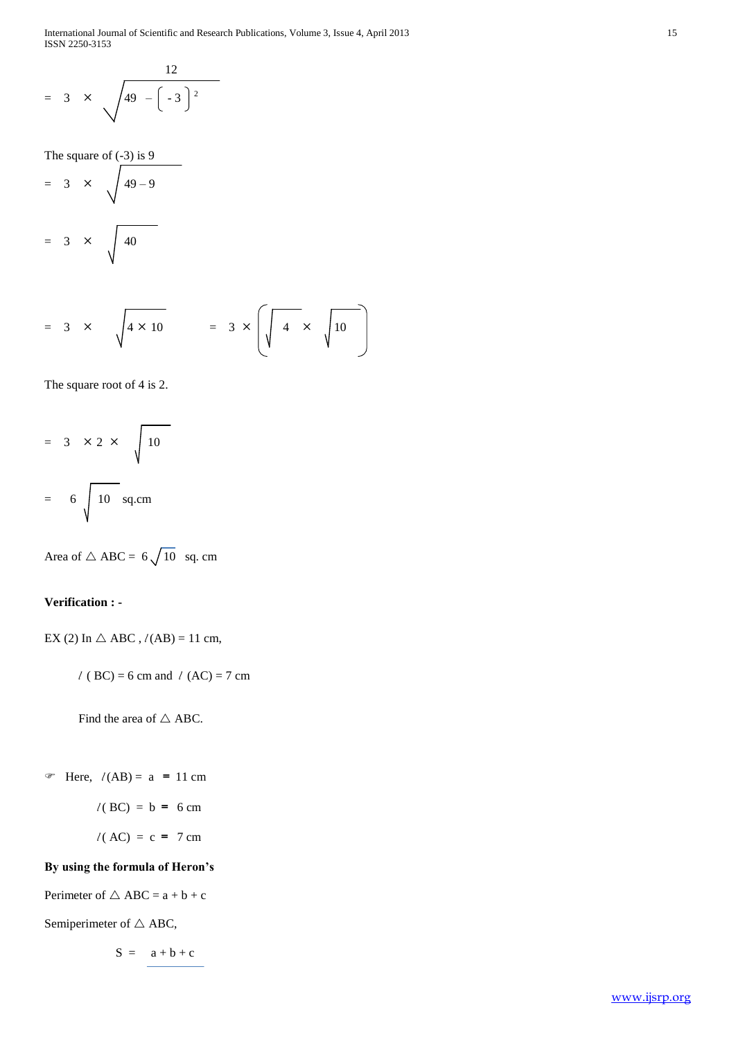International Journal of Scientific and Research Publications, Volume 3, Issue 4, April 2013 15 ISSN 2250-3153

$$
= 3 \times \sqrt{49 - \left(-3\right)^2}
$$

The square of  $(-3)$  is 9  $= 3 \times \sqrt{49-9}$ 

$$
= 3 \times \sqrt{40}
$$

$$
= 3 \times \sqrt{4 \times 10} = 3 \times \left( \sqrt{4 \times \sqrt{10}} \right)
$$

The square root of 4 is 2.

$$
= 3 \times 2 \times \sqrt{10}
$$

$$
= 6 \sqrt{10 \text{ sq.cm}}
$$

Area of  $\triangle$  ABC = 6 $\sqrt{10}$  sq. cm

# **Verification : -**

EX (2) In  $\triangle$  ABC,  $l(AB) = 11$  cm,

 *l* ( BC) = 6 cm and *l* (AC) = 7 cm

Find the area of  $\triangle$  ABC.

Free,  $l(AB) = a = 11$  cm

$$
l(BC) = b = 6 \text{ cm}
$$

$$
l(AC) = c = 7 cm
$$

# **By using the formula of Heron's**

Perimeter of  $\triangle$  ABC =  $a + b + c$ 

Semiperimeter of  $\triangle$  ABC,

 $S = a + b + c$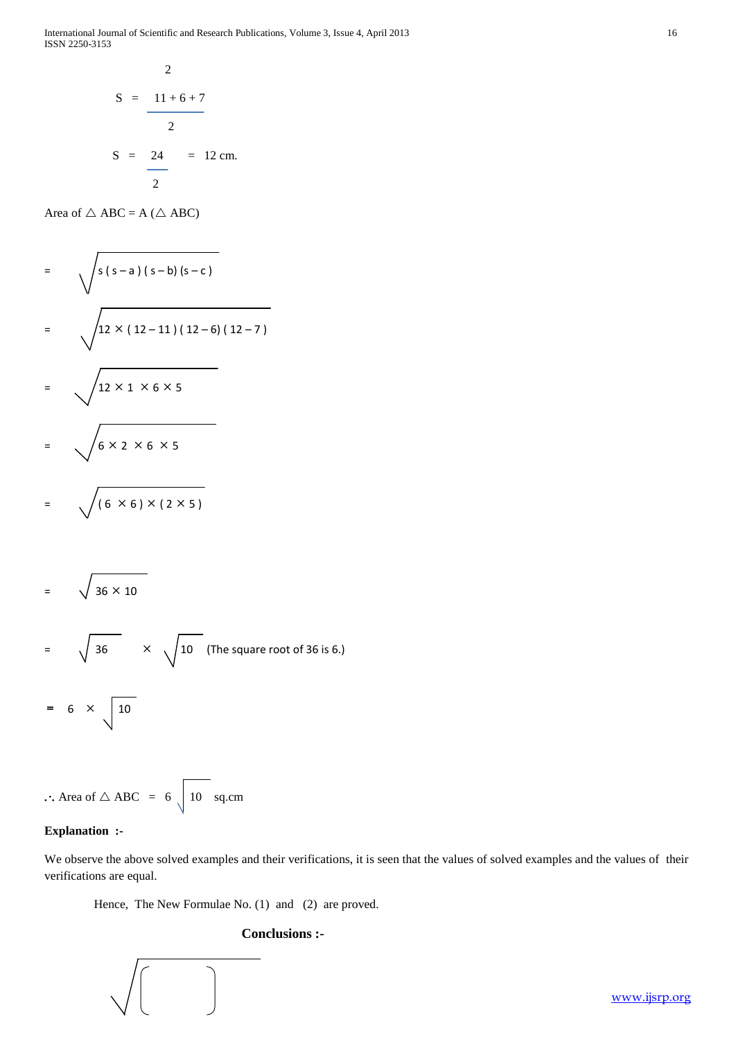International Journal of Scientific and Research Publications, Volume 3, Issue 4, April 2013 16 ISSN 2250-3153

$$
S = \frac{11 + 6 + 7}{2}
$$
  

$$
S = \frac{24}{2} = 12 \text{ cm.}
$$

Area of  $\triangle$  ABC = A ( $\triangle$  ABC)

$$
= \sqrt{\frac{s(s-a)(s-b)(s-c)}{2 \times (12-11)(12-6)(12-7)}}
$$
  
=  $\sqrt{\frac{12 \times 1 \times 6 \times 5}{6 \times 2 \times 6 \times 5}}$   
=  $\sqrt{(6 \times 6) \times (2 \times 5)}$ 

$$
= \sqrt{36 \times 10}
$$
  
=  $\sqrt{36} \times \sqrt{10}$  (The square root of 36 is 6.)  
=  $6 \times \sqrt{10}$ 

$$
\therefore \text{ Area of } \triangle \text{ ABC} = 6 \sqrt{10} \text{ sq.cm}
$$

# **Explanation :-**

We observe the above solved examples and their verifications, it is seen that the values of solved examples and the values of their verifications are equal.

Hence, The New Formulae No. (1) and (2) are proved.

 $\begin{array}{c} \hline \end{array}$ 

# **Conclusions :-**